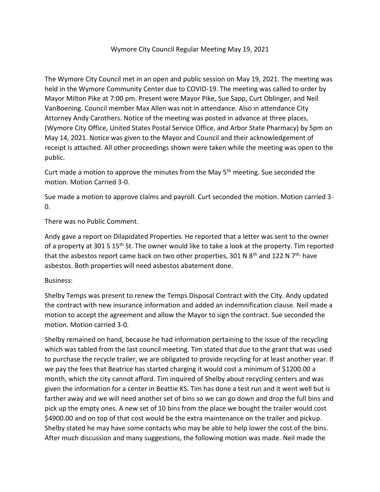## Wymore City Council Regular Meeting May 19, 2021

The Wymore City Council met in an open and public session on May 19, 2021. The meeting was held in the Wymore Community Center due to COVID-19. The meeting was called to order by Mayor Milton Pike at 7:00 pm. Present were Mayor Pike, Sue Sapp, Curt Oblinger, and Neil VanBoening. Council member Max Allen was not in attendance. Also in attendance City Attorney Andy Carothers. Notice of the meeting was posted in advance at three places, (Wymore City Office, United States Postal Service Office, and Arbor State Pharmacy) by 5pm on May 14, 2021. Notice was given to the Mayor and Council and their acknowledgement of receipt is attached. All other proceedings shown were taken while the meeting was open to the public.

Curt made a motion to approve the minutes from the May  $5<sup>th</sup>$  meeting. Sue seconded the motion. Motion Carried 3-0.

Sue made a motion to approve claims and payroll. Curt seconded the motion. Motion carried 3-  $\Omega$ .

## There was no Public Comment.

Andy gave a report on Dilapidated Properties. He reported that a letter was sent to the owner of a property at 301 S 15<sup>th</sup> St. The owner would like to take a look at the property. Tim reported that the asbestos report came back on two other properties, 301 N  $8<sup>th</sup>$  and 122 N  $7<sup>th</sup>$  have asbestos. Both properties will need asbestos abatement done.

## Business:

Shelby Temps was present to renew the Temps Disposal Contract with the City. Andy updated the contract with new insurance information and added an indemnification clause. Neil made a motion to accept the agreement and allow the Mayor to sign the contract. Sue seconded the motion. Motion carried 3-0.

Shelby remained on hand, because he had information pertaining to the issue of the recycling which was tabled from the last council meeting. Tim stated that due to the grant that was used to purchase the recycle trailer, we are obligated to provide recycling for at least another year. If we pay the fees that Beatrice has started charging it would cost a minimum of \$1200.00 a month, which the city cannot afford. Tim inquired of Shelby about recycling centers and was given the information for a center in Beattie KS. Tim has done a test run and it went well but is farther away and we will need another set of bins so we can go down and drop the full bins and pick up the empty ones. A new set of 10 bins from the place we bought the trailer would cost \$4900.00 and on top of that cost would be the extra maintenance on the trailer and pickup. Shelby stated he may have some contacts who may be able to help lower the cost of the bins. After much discussion and many suggestions, the following motion was made. Neil made the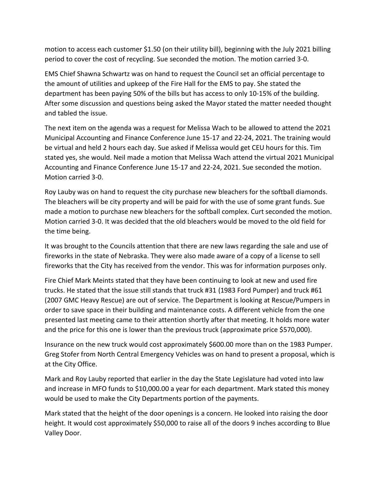motion to access each customer \$1.50 (on their utility bill), beginning with the July 2021 billing period to cover the cost of recycling. Sue seconded the motion. The motion carried 3-0.

EMS Chief Shawna Schwartz was on hand to request the Council set an official percentage to the amount of utilities and upkeep of the Fire Hall for the EMS to pay. She stated the department has been paying 50% of the bills but has access to only 10-15% of the building. After some discussion and questions being asked the Mayor stated the matter needed thought and tabled the issue.

The next item on the agenda was a request for Melissa Wach to be allowed to attend the 2021 Municipal Accounting and Finance Conference June 15-17 and 22-24, 2021. The training would be virtual and held 2 hours each day. Sue asked if Melissa would get CEU hours for this. Tim stated yes, she would. Neil made a motion that Melissa Wach attend the virtual 2021 Municipal Accounting and Finance Conference June 15-17 and 22-24, 2021. Sue seconded the motion. Motion carried 3-0.

Roy Lauby was on hand to request the city purchase new bleachers for the softball diamonds. The bleachers will be city property and will be paid for with the use of some grant funds. Sue made a motion to purchase new bleachers for the softball complex. Curt seconded the motion. Motion carried 3-0. It was decided that the old bleachers would be moved to the old field for the time being.

It was brought to the Councils attention that there are new laws regarding the sale and use of fireworks in the state of Nebraska. They were also made aware of a copy of a license to sell fireworks that the City has received from the vendor. This was for information purposes only.

Fire Chief Mark Meints stated that they have been continuing to look at new and used fire trucks. He stated that the issue still stands that truck #31 (1983 Ford Pumper) and truck #61 (2007 GMC Heavy Rescue) are out of service. The Department is looking at Rescue/Pumpers in order to save space in their building and maintenance costs. A different vehicle from the one presented last meeting came to their attention shortly after that meeting. It holds more water and the price for this one is lower than the previous truck (approximate price \$570,000).

Insurance on the new truck would cost approximately \$600.00 more than on the 1983 Pumper. Greg Stofer from North Central Emergency Vehicles was on hand to present a proposal, which is at the City Office.

Mark and Roy Lauby reported that earlier in the day the State Legislature had voted into law and increase in MFO funds to \$10,000.00 a year for each department. Mark stated this money would be used to make the City Departments portion of the payments.

Mark stated that the height of the door openings is a concern. He looked into raising the door height. It would cost approximately \$50,000 to raise all of the doors 9 inches according to Blue Valley Door.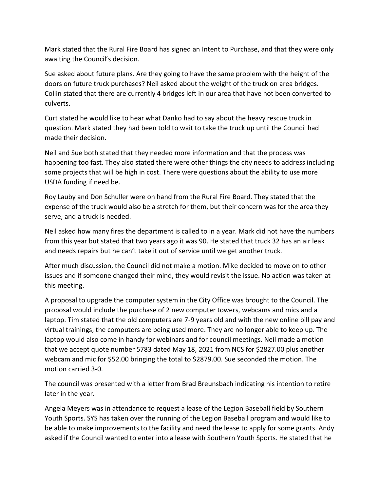Mark stated that the Rural Fire Board has signed an Intent to Purchase, and that they were only awaiting the Council's decision.

Sue asked about future plans. Are they going to have the same problem with the height of the doors on future truck purchases? Neil asked about the weight of the truck on area bridges. Collin stated that there are currently 4 bridges left in our area that have not been converted to culverts.

Curt stated he would like to hear what Danko had to say about the heavy rescue truck in question. Mark stated they had been told to wait to take the truck up until the Council had made their decision.

Neil and Sue both stated that they needed more information and that the process was happening too fast. They also stated there were other things the city needs to address including some projects that will be high in cost. There were questions about the ability to use more USDA funding if need be.

Roy Lauby and Don Schuller were on hand from the Rural Fire Board. They stated that the expense of the truck would also be a stretch for them, but their concern was for the area they serve, and a truck is needed.

Neil asked how many fires the department is called to in a year. Mark did not have the numbers from this year but stated that two years ago it was 90. He stated that truck 32 has an air leak and needs repairs but he can't take it out of service until we get another truck.

After much discussion, the Council did not make a motion. Mike decided to move on to other issues and if someone changed their mind, they would revisit the issue. No action was taken at this meeting.

A proposal to upgrade the computer system in the City Office was brought to the Council. The proposal would include the purchase of 2 new computer towers, webcams and mics and a laptop. Tim stated that the old computers are 7-9 years old and with the new online bill pay and virtual trainings, the computers are being used more. They are no longer able to keep up. The laptop would also come in handy for webinars and for council meetings. Neil made a motion that we accept quote number 5783 dated May 18, 2021 from NCS for \$2827.00 plus another webcam and mic for \$52.00 bringing the total to \$2879.00. Sue seconded the motion. The motion carried 3-0.

The council was presented with a letter from Brad Breunsbach indicating his intention to retire later in the year.

Angela Meyers was in attendance to request a lease of the Legion Baseball field by Southern Youth Sports. SYS has taken over the running of the Legion Baseball program and would like to be able to make improvements to the facility and need the lease to apply for some grants. Andy asked if the Council wanted to enter into a lease with Southern Youth Sports. He stated that he